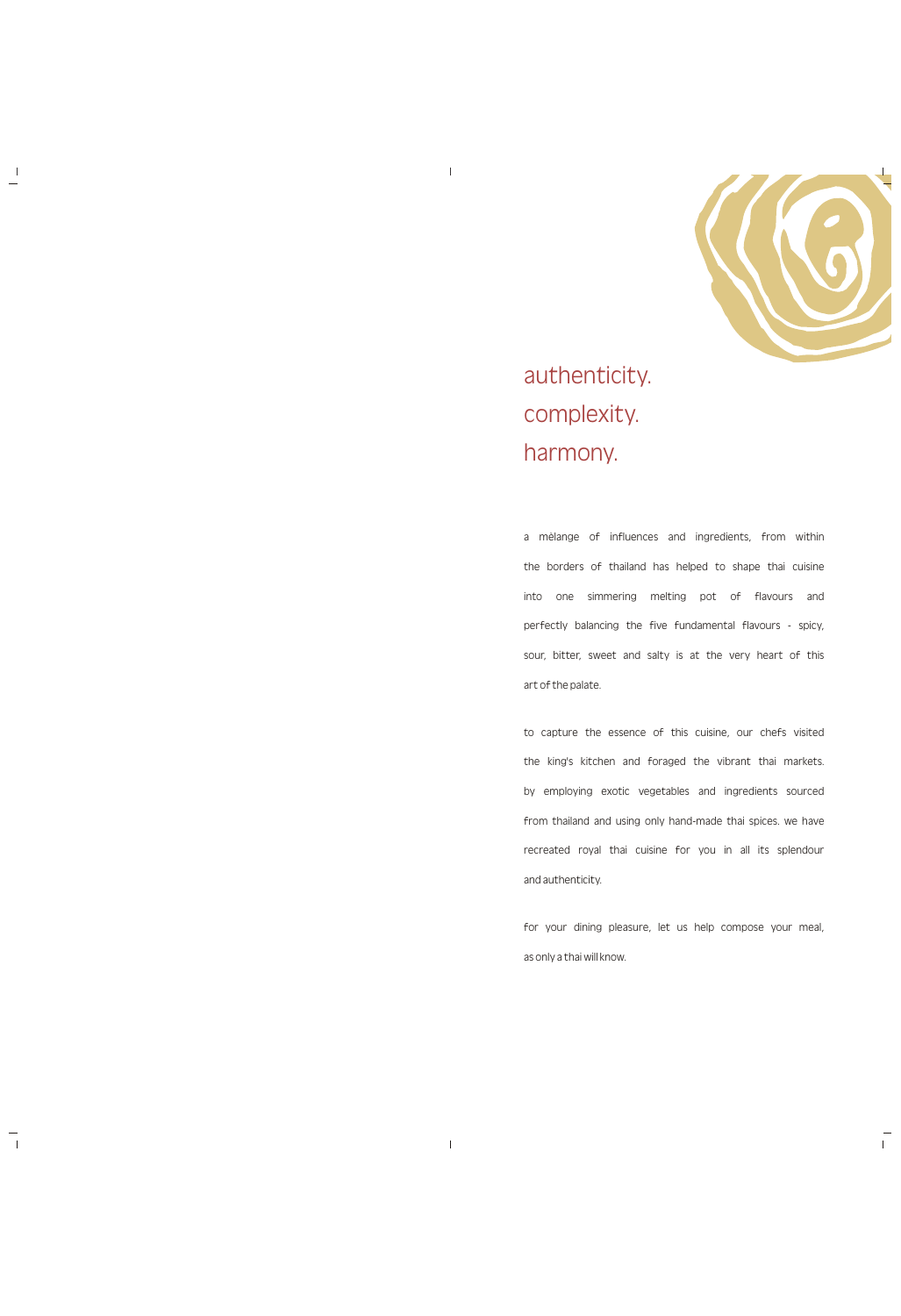

authenticity. complexity. harmony.

 $\mathbb T$ 

 $\mathbf{I}$ 

 $\Box$ 

a mèlange of influences and ingredients, from within the borders of thailand has helped to shape thai cuisine into one simmering melting pot of flavours and perfectly balancing the five fundamental flavours - spicy, sour, bitter, sweet and salty is at the very heart of this art of the palate.

to capture the essence of this cuisine, our chefs visited the king's kitchen and foraged the vibrant thai markets. by employing exotic vegetables and ingredients sourced from thailand and using only hand-made thai spices. we have recreated royal thai cuisine for you in all its splendour

and authenticity.

for your dining pleasure, let us help compose your meal,

 $\mathbb{L}$ 

as only a thai will know.

 $\mathbb T$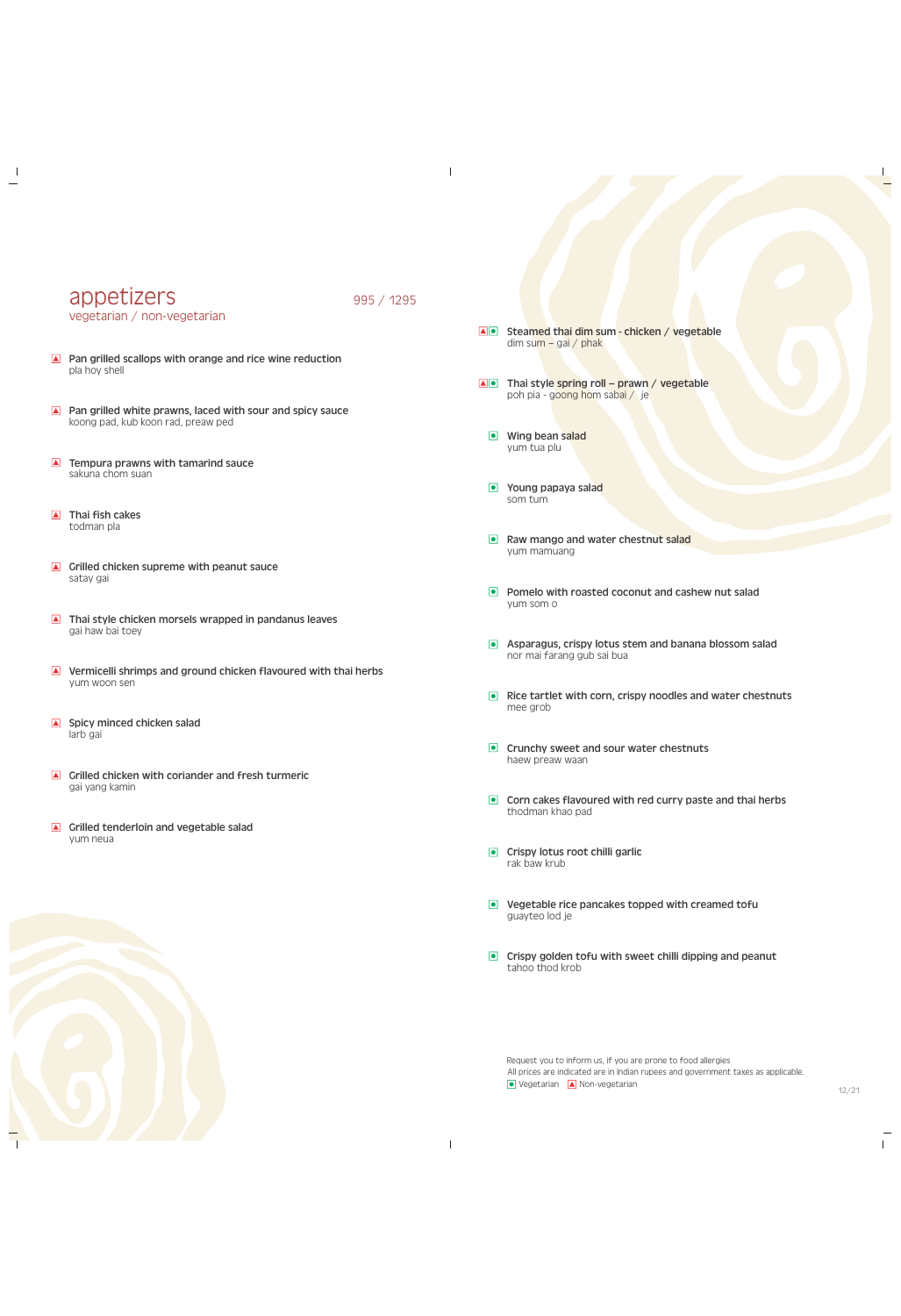## appetizers 995 / 1295 vegetarian / non-vegetarian

 $\overline{\phantom{a}}$ 

- **A** Pan grilled scallops with orange and rice wine reduction pla hoy shell
- **A** Pan grilled white prawns, laced with sour and spicy sauce koong pad, kub koon rad, preaw ped
- $\blacksquare$  Tempura prawns with tamarind sauce sakuna chom suan
- Thai fish cakes todman pla

 $\overline{\phantom{a}}$ 

- Grilled chicken supreme with peanut sauce satay gai
- Thai style chicken morsels wrapped in pandanus leaves gai haw bai toey
- **A** Vermicelli shrimps and ground chicken flavoured with thai herbs yum woon sen
- $\blacksquare$  Spicy minced chicken salad larb gai
- $\blacksquare$  Grilled chicken with coriander and fresh turmeric gai yang kamin
- Grilled tenderloin and vegetable salad yum neua
- Steamed thai dim sum chicken / vegetable dim sum – gai / phak
- $\Box$  Thai style spring roll prawn / vegetable poh pia - goong hom sabai / je
	- **Wing bean salad** yum tua plu
	- **•** Young papaya salad som tum
	- Raw mango and water chestnut salad yum mamuang
	- **Pomelo with roasted coconut and cashew nut salad** yum som o
- **Asparagus, crispy lotus stem and banana blossom salad** nor mai farang gub sai bua
- $\bullet$  Rice tartlet with corn, crispy noodles and water chestnuts mee grob
- **Crunchy sweet and sour water chestnuts** haew preaw waan
- **Corn cakes flavoured with red curry paste and thai herbs** thodman khao pad
- **•** Crispy lotus root chilli garlic rak baw krub



 $\perp$ 

- **Vegetable rice pancakes topped with creamed tofully** guayteo lod je
- $\bullet$  Crispy golden tofu with sweet chilli dipping and peanut tahoo thod krob

Request you to inform us, if you are prone to food allergies All prices are indicated are in Indian rupees and government taxes as applicable.  $\bullet$  Vegetarian  $\bullet$  Non-vegetarian

 $\mathbf{I}$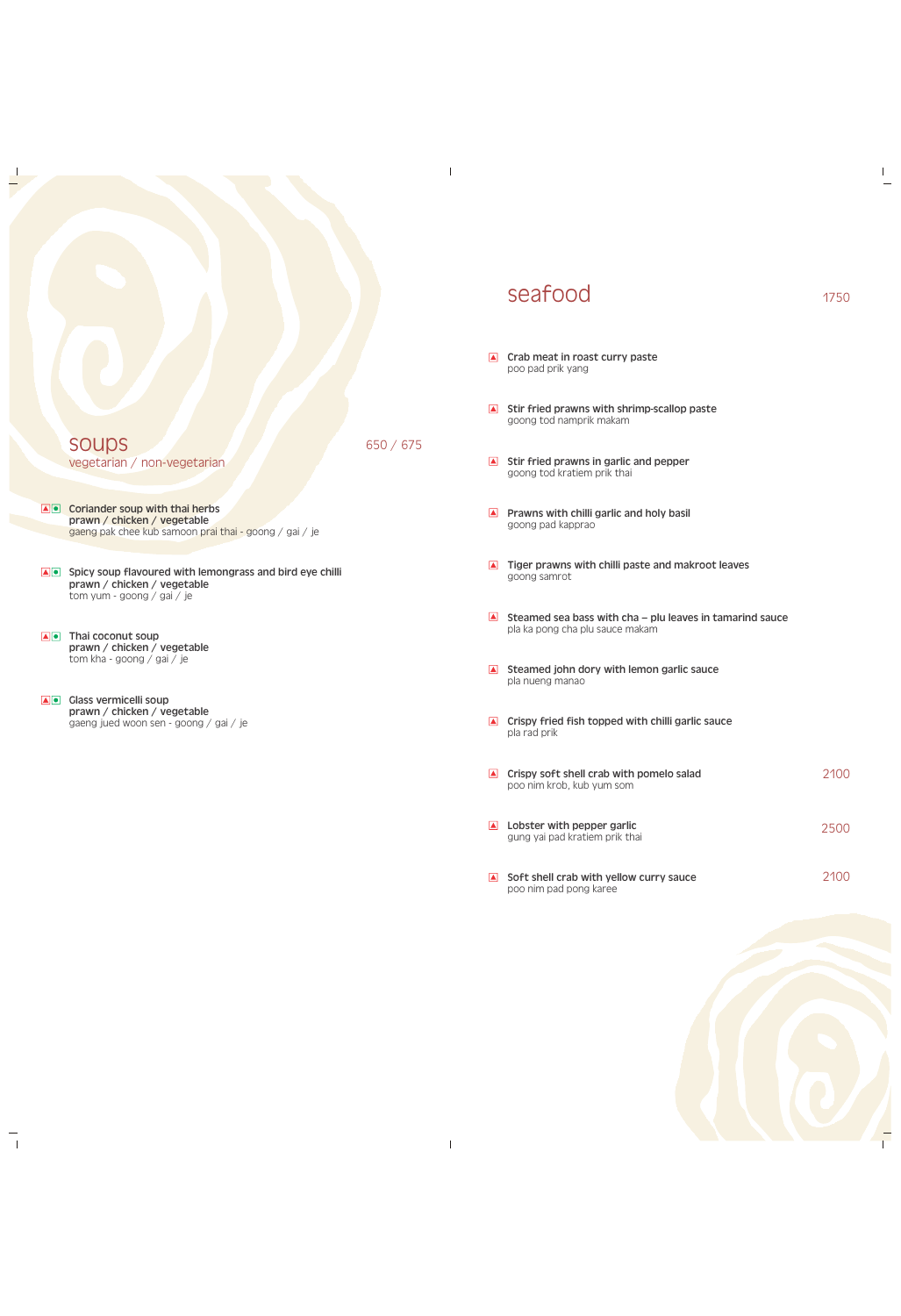soups vegetarian / non-vegetarian

650 / 675

 $\mathcal{L}$ 

- **AO** Coriander soup with thai herbs prawn / chicken / vegetable gaeng pak chee kub samoon prai thai - goong / gai / je
- Spicy soup flavoured with lemongrass and bird eye chilli prawn / chicken / vegetable tom yum - goong / gai / je
- **AO** Thai coconut soup prawn / chicken / vegetable tom kha - goong / gai / je

 $\Box$ 

**AO** Glass vermicelli soup prawn / chicken / vegetable gaeng jued woon sen - goong / gai / je

> $\blacksquare$  Crispy soft shell crab with pomelo salad poo nim krob, kub yum som **A** Lobster with pepper garlic

# seafood 1750

poo pad prik yang

 $\Box$  Crab meat in roast curry paste

goong tod namprik makam

 $\blacksquare$  Soft shell crab with yellow curry sauce poo nim pad pong karee

goong tod kratiem prik thai

Prawns with chilli garlic and holy basil

 $\blacksquare$  Tiger prawns with chilli paste and makroot leaves

Steamed sea bass with cha – plu leaves in tamarind sauce

 $\pm$ 

goong pad kapprao

goong samrot

pla ka pong cha plu sauce makam

 $\blacksquare$  Steamed john dory with lemon garlic sauce

 $\blacksquare$  Crispy fried fish topped with chilli garlic sauce

pla nueng manao

pla rad prik

 $\parallel$ 

 $\blacksquare$  Stir fried prawns with shrimp-scallop paste

 $\blacksquare$  Stir fried prawns in garlic and pepper

gung yai pad kratiem prik thai



2100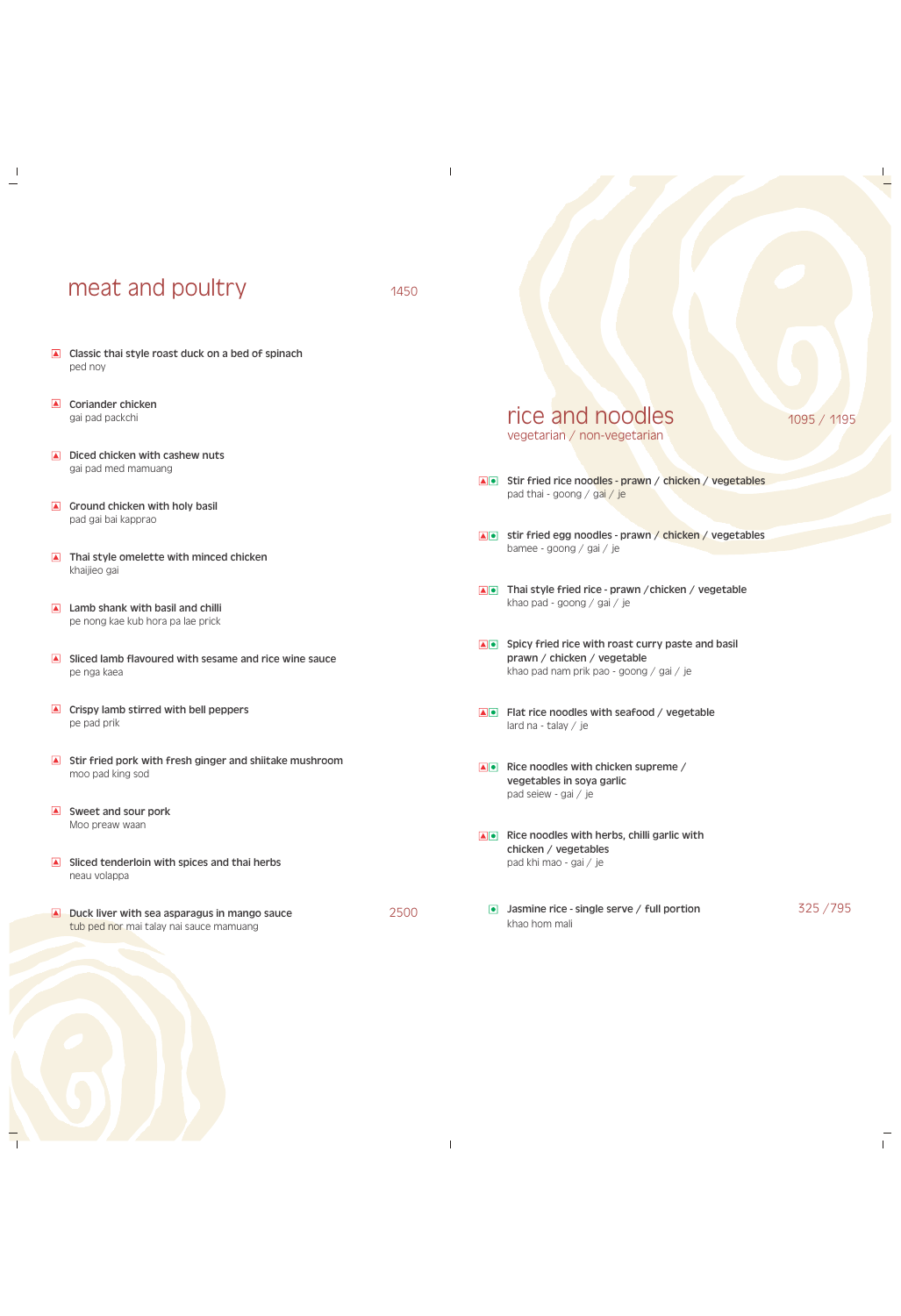# meat and poultry 1450

 $\overline{\phantom{a}}$ 

2500

 $\mathbb{I}$ 

- Classic thai style roast duck on a bed of spinach ped noy
- $\blacksquare$  Coriander chicken gai pad packchi

 $\overline{\phantom{a}}$ 

- $\Box$  Diced chicken with cashew nuts gai pad med mamuang
- $\Box$  Ground chicken with holy basil pad gai bai kapprao
- Thai style omelette with minced chicken khaijieo gai
- **A** Lamb shank with basil and chilli pe nong kae kub hora pa lae prick
- $\blacksquare$  Sliced lamb flavoured with sesame and rice wine sauce pe nga kaea
- $\blacksquare$  Crispy lamb stirred with bell peppers pe pad prik
- $\blacksquare$  Stir fried pork with fresh ginger and shiitake mushroom moo pad king sod
- $\blacksquare$  Sweet and sour pork Moo preaw waan
- $\blacksquare$  Sliced tenderloin with spices and thai herbs
- neau volappa
- Duck liver with sea asparagus in mango sauce tub ped nor mai talay nai sauce mamuang
- Stir fried rice noodles prawn / chicken / vegetables pad thai - goong / gai / je
- **AD** stir fried egg noodles prawn / chicken / vegetables bamee - goong / gai / je
- Thai style fried rice prawn / chicken / vegetable khao pad - goong / gai / je
- Spicy fried rice with roast curry paste and basil prawn / chicken / vegetable khao pad nam prik pao - goong / gai / je
- Flat rice noodles with seafood / vegetable lard na - talay / je
- $\blacksquare$  Rice noodles with chicken supreme / vegetables in soya garlic pad seiew - gai / je
- $\Box$  Rice noodles with herbs, chilli garlic with chicken / vegetables pad khi mao - gai / je

**Jasmine rice - single serve / full portion** 325 / 795 khao hom mali

 $\mathbf{L}$ 

### rice and noodles vegetarian / non-vegetarian

### 1095 / 1195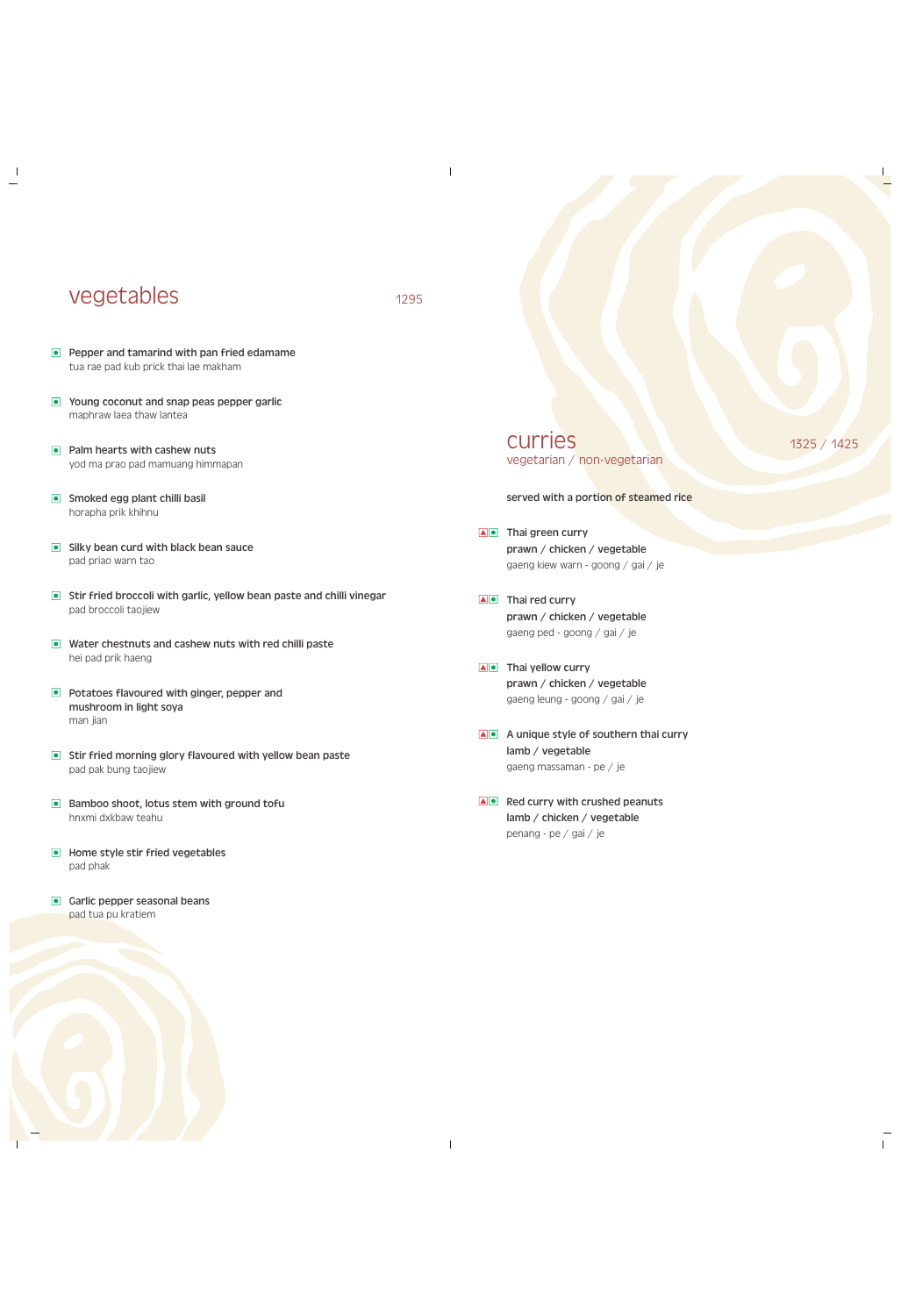## vegetables 1295

 $\overline{\phantom{a}}$ 

 $\overline{\phantom{a}}$ 

- **Pepper and tamarind with pan fried edamame** tua rae pad kub prick thai lae makham
- **Young coconut and snap peas pepper garlic** maphraw laea thaw lantea
- $\bullet$  Palm hearts with cashew nuts yod ma prao pad mamuang himmapan
- **Smoked egg plant chilli basil** horapha prik khihnu
- **Silky bean curd with black bean sauce** pad priao warn tao
- **•** Stir fried broccoli with garlic, yellow bean paste and chilli vinegar pad broccoli taojiew
- **•** Water chestnuts and cashew nuts with red chilli paste hei pad prik haeng
- **Potatoes flavoured with ginger, pepper and** mushroom in light soya man jian
- **Stir fried morning glory flavoured with yellow bean paste** pad pak bung taojiew
- Bamboo shoot, lotus stem with ground tofu hnxmi dxkbaw teahu
- **In Home style stir fried vegetables**

curries vegetarian / non-vegetarian

1325 / 1425

 $\mathbb{L}$ 

served with a portion of steamed rice

- A Thai green curry prawn / chicken / vegetable gaeng kiew warn - goong / gai / je
- A Thai red curry prawn / chicken / vegetable gaeng ped - goong / gai / je
- A Thai yellow curry prawn / chicken / vegetable gaeng leung - goong / gai / je
- A unique style of southern thai curry lamb / vegetable gaeng massaman - pe / je
- $\blacksquare$  Red curry with crushed peanuts lamb / chicken / vegetable penang - pe / gai / je

 $\parallel$ 

### Garlic pepper seasonal beans pad tua pu kratiem



pad phak